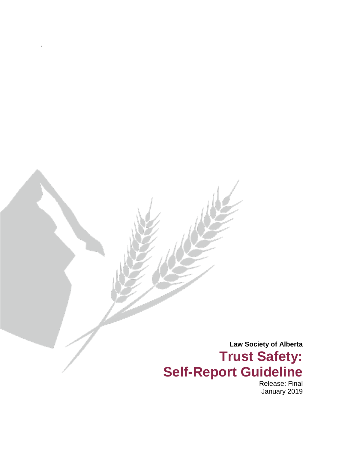**Law Society of Alberta Trust Safety: Self-Report Guideline** 

.

Release: Final January 2019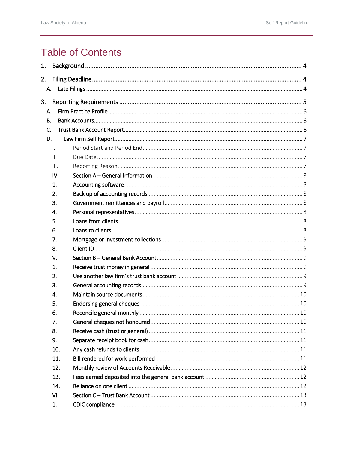# **Table of Contents**

| 1. |                 |  |  |  |  |  |  |  |  |
|----|-----------------|--|--|--|--|--|--|--|--|
| 2. |                 |  |  |  |  |  |  |  |  |
|    | A.              |  |  |  |  |  |  |  |  |
|    |                 |  |  |  |  |  |  |  |  |
|    | 3.              |  |  |  |  |  |  |  |  |
|    | А.              |  |  |  |  |  |  |  |  |
| В. |                 |  |  |  |  |  |  |  |  |
| C. |                 |  |  |  |  |  |  |  |  |
|    | D.              |  |  |  |  |  |  |  |  |
|    | $\mathsf{L}$    |  |  |  |  |  |  |  |  |
|    | $\mathbf{II}$ . |  |  |  |  |  |  |  |  |
|    | III.            |  |  |  |  |  |  |  |  |
|    | IV.             |  |  |  |  |  |  |  |  |
|    | 1.              |  |  |  |  |  |  |  |  |
|    | 2.              |  |  |  |  |  |  |  |  |
|    | 3.              |  |  |  |  |  |  |  |  |
|    | 4.              |  |  |  |  |  |  |  |  |
|    | 5.              |  |  |  |  |  |  |  |  |
|    | 6.              |  |  |  |  |  |  |  |  |
|    | 7.              |  |  |  |  |  |  |  |  |
|    | 8.              |  |  |  |  |  |  |  |  |
|    | V.              |  |  |  |  |  |  |  |  |
|    | 1.              |  |  |  |  |  |  |  |  |
|    | 2.              |  |  |  |  |  |  |  |  |
|    | 3.              |  |  |  |  |  |  |  |  |
|    | 4.              |  |  |  |  |  |  |  |  |
|    | 5.              |  |  |  |  |  |  |  |  |
|    | 6.              |  |  |  |  |  |  |  |  |
|    | 7.              |  |  |  |  |  |  |  |  |
|    | 8.              |  |  |  |  |  |  |  |  |
|    | 9.              |  |  |  |  |  |  |  |  |
|    | 10.             |  |  |  |  |  |  |  |  |
|    | 11.             |  |  |  |  |  |  |  |  |
|    | 12.             |  |  |  |  |  |  |  |  |
|    | 13.             |  |  |  |  |  |  |  |  |
|    | 14.             |  |  |  |  |  |  |  |  |
|    | VI.             |  |  |  |  |  |  |  |  |
|    | 1.              |  |  |  |  |  |  |  |  |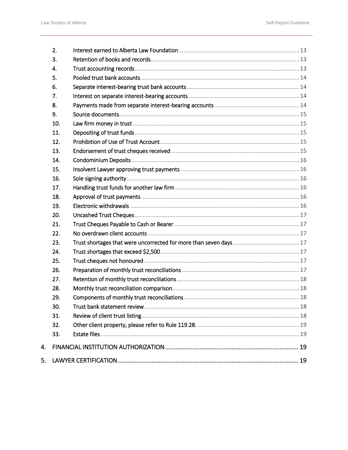4.

5.

| 2.  |  |
|-----|--|
| 3.  |  |
| 4.  |  |
| 5.  |  |
| 6.  |  |
| 7.  |  |
| 8.  |  |
| 9.  |  |
| 10. |  |
| 11. |  |
| 12. |  |
| 13. |  |
| 14. |  |
| 15. |  |
| 16. |  |
| 17. |  |
| 18. |  |
| 19. |  |
| 20. |  |
| 21. |  |
| 22. |  |
| 23. |  |
| 24. |  |
| 25. |  |
| 26. |  |
| 27. |  |
| 28. |  |
| 29. |  |
| 30. |  |
| 31. |  |
| 32. |  |
| 33. |  |
|     |  |
|     |  |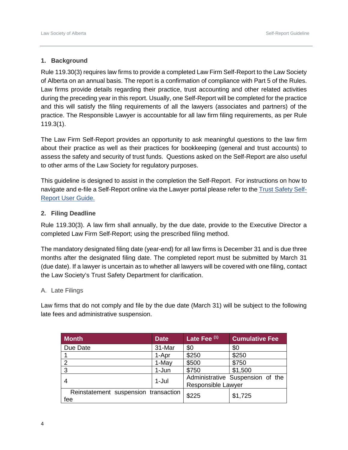# <span id="page-3-0"></span>**1. Background**

Rule 119.30(3) requires law firms to provide a completed Law Firm Self-Report to the Law Society of Alberta on an annual basis. The report is a confirmation of compliance with Part 5 of the Rules. Law firms provide details regarding their practice, trust accounting and other related activities during the preceding year in this report. Usually, one Self-Report will be completed for the practice and this will satisfy the filing requirements of all the lawyers (associates and partners) of the practice. The Responsible Lawyer is accountable for all law firm filing requirements, as per Rule 119.3(1).

The Law Firm Self-Report provides an opportunity to ask meaningful questions to the law firm about their practice as well as their practices for bookkeeping (general and trust accounts) to assess the safety and security of trust funds. Questions asked on the Self-Report are also useful to other arms of the Law Society for regulatory purposes.

This guideline is designed to assist in the completion the Self-Report. For instructions on how to navigate and e-file a Self-Report online via the Lawyer portal please refer to the [Trust Safety Self-](https://dvbat5idxh7ib.cloudfront.net/wp-content/uploads/2017/01/29220051/law_firm_self_report_instructions_submission.pdf)[Report User Guide.](https://dvbat5idxh7ib.cloudfront.net/wp-content/uploads/2017/01/29220051/law_firm_self_report_instructions_submission.pdf)

## <span id="page-3-1"></span>**2. Filing Deadline**

Rule 119.30(3). A law firm shall annually, by the due date, provide to the Executive Director a completed Law Firm Self-Report; using the prescribed filing method.

The mandatory designated filing date (year-end) for all law firms is December 31 and is due three months after the designated filing date. The completed report must be submitted by March 31 (due date). If a lawyer is uncertain as to whether all lawyers will be covered with one filing, contact the Law Society's Trust Safety Department for clarification.

#### <span id="page-3-2"></span>A. Late Filings

Law firms that do not comply and file by the due date (March 31) will be subject to the following late fees and administrative suspension.

| <b>Month</b>                         | <b>Date</b> | Late Fee <sup>(1)</sup> | <b>Cumulative Fee</b>            |  |
|--------------------------------------|-------------|-------------------------|----------------------------------|--|
| Due Date                             | 31-Mar      | \$0                     | \$0                              |  |
|                                      | 1-Apr       | \$250                   | \$250                            |  |
| っ                                    | 1-May       | \$500                   | \$750                            |  |
| 3                                    | 1-Jun       | \$750                   | \$1,500                          |  |
|                                      | $1-Jul$     |                         | Administrative Suspension of the |  |
|                                      |             | Responsible Lawyer      |                                  |  |
| Reinstatement suspension transaction | \$225       | \$1,725                 |                                  |  |
| fee                                  |             |                         |                                  |  |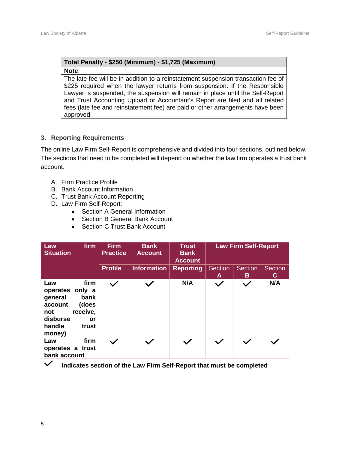# **Total Penalty - \$250 (Minimum) - \$1,725 (Maximum)**

#### **Note**:

The late fee will be in addition to a reinstatement suspension transaction fee of \$225 required when the lawyer returns from suspension. If the Responsible Lawyer is suspended, the suspension will remain in place until the Self-Report and Trust Accounting Upload or Accountant's Report are filed and all related fees (late fee and reinstatement fee) are paid or other arrangements have been approved.

#### <span id="page-4-0"></span>**3. Reporting Requirements**

The online Law Firm Self-Report is comprehensive and divided into four sections, outlined below. The sections that need to be completed will depend on whether the law firm operates a trust bank account.

- A. Firm Practice Profile
- B. Bank Account Information
- C. Trust Bank Account Reporting
- D. Law Firm Self-Report:
	- Section A General Information
	- Section B General Bank Account
	- Section C Trust Bank Account

| firm<br>Law<br><b>Situation</b>                                                                                                            | <b>Firm</b><br><b>Practice</b> | <b>Bank</b><br><b>Account</b> | <b>Trust</b><br><b>Bank</b><br><b>Account</b> | <b>Law Firm Self-Report</b> |                     |                      |  |
|--------------------------------------------------------------------------------------------------------------------------------------------|--------------------------------|-------------------------------|-----------------------------------------------|-----------------------------|---------------------|----------------------|--|
|                                                                                                                                            | <b>Profile</b>                 | <b>Information</b>            | <b>Reporting</b>                              | <b>Section</b><br>A         | <b>Section</b><br>B | <b>Section</b><br>C. |  |
| firm<br>Law<br>operates<br>only a<br>bank<br>general<br>(does<br>account<br>receive,<br>not<br>disburse<br>or<br>handle<br>trust<br>money) | $\checkmark$                   |                               | N/A                                           | $\checkmark$                | $\checkmark$        | N/A                  |  |
| firm<br>Law<br>operates a trust<br>bank account                                                                                            | $\checkmark$                   |                               |                                               |                             | $\checkmark$        |                      |  |
| Indicates section of the Law Firm Self-Report that must be completed                                                                       |                                |                               |                                               |                             |                     |                      |  |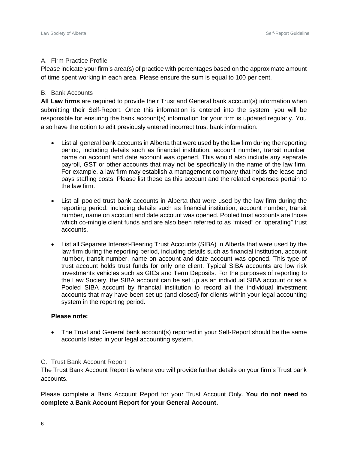## <span id="page-5-0"></span>A. Firm Practice Profile

Please indicate your firm's area(s) of practice with percentages based on the approximate amount of time spent working in each area. Please ensure the sum is equal to 100 per cent.

## <span id="page-5-1"></span>B. Bank Accounts

**All Law firms** are required to provide their Trust and General bank account(s) information when submitting their Self-Report. Once this information is entered into the system, you will be responsible for ensuring the bank account(s) information for your firm is updated regularly. You also have the option to edit previously entered incorrect trust bank information.

- List all general bank accounts in Alberta that were used by the law firm during the reporting period, including details such as financial institution, account number, transit number, name on account and date account was opened. This would also include any separate payroll, GST or other accounts that may not be specifically in the name of the law firm. For example, a law firm may establish a management company that holds the lease and pays staffing costs. Please list these as this account and the related expenses pertain to the law firm.
- List all pooled trust bank accounts in Alberta that were used by the law firm during the reporting period, including details such as financial institution, account number, transit number, name on account and date account was opened. Pooled trust accounts are those which co-mingle client funds and are also been referred to as "mixed" or "operating" trust accounts.
- List all Separate Interest-Bearing Trust Accounts (SIBA) in Alberta that were used by the law firm during the reporting period, including details such as financial institution, account number, transit number, name on account and date account was opened. This type of trust account holds trust funds for only one client. Typical SIBA accounts are low risk investments vehicles such as GICs and Term Deposits. For the purposes of reporting to the Law Society, the SIBA account can be set up as an individual SIBA account or as a Pooled SIBA account by financial institution to record all the individual investment accounts that may have been set up (and closed) for clients within your legal accounting system in the reporting period.

# **Please note:**

• The Trust and General bank account(s) reported in your Self-Report should be the same accounts listed in your legal accounting system.

#### <span id="page-5-2"></span>C. Trust Bank Account Report

The Trust Bank Account Report is where you will provide further details on your firm's Trust bank accounts.

Please complete a Bank Account Report for your Trust Account Only. **You do not need to complete a Bank Account Report for your General Account.**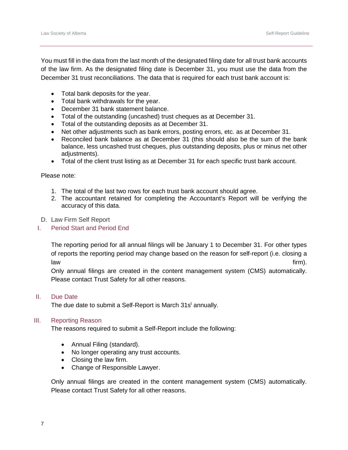You must fill in the data from the last month of the designated filing date for all trust bank accounts of the law firm. As the designated filing date is December 31, you must use the data from the December 31 trust reconciliations. The data that is required for each trust bank account is:

- Total bank deposits for the year.
- Total bank withdrawals for the year.
- December 31 bank statement balance.
- Total of the outstanding (uncashed) trust cheques as at December 31.
- Total of the outstanding deposits as at December 31.
- Net other adjustments such as bank errors, posting errors, etc. as at December 31.
- Reconciled bank balance as at December 31 (this should also be the sum of the bank balance, less uncashed trust cheques, plus outstanding deposits, plus or minus net other adjustments).
- Total of the client trust listing as at December 31 for each specific trust bank account.

Please note:

- 1. The total of the last two rows for each trust bank account should agree.
- 2. The accountant retained for completing the Accountant's Report will be verifying the accuracy of this data.
- <span id="page-6-0"></span>D. Law Firm Self Report
- <span id="page-6-1"></span>I. Period Start and Period End

The reporting period for all annual filings will be January 1 to December 31. For other types of reports the reporting period may change based on the reason for self-report (i.e. closing a law firm).

Only annual filings are created in the content management system (CMS) automatically. Please contact Trust Safety for all other reasons.

#### <span id="page-6-2"></span>II. Due Date

The due date to submit a Self-Report is March 31s<sup>t</sup> annually.

#### <span id="page-6-3"></span>III. Reporting Reason

The reasons required to submit a Self-Report include the following:

- Annual Filing (standard).
- No longer operating any trust accounts.
- Closing the law firm.
- Change of Responsible Lawyer.

Only annual filings are created in the content management system (CMS) automatically. Please contact Trust Safety for all other reasons.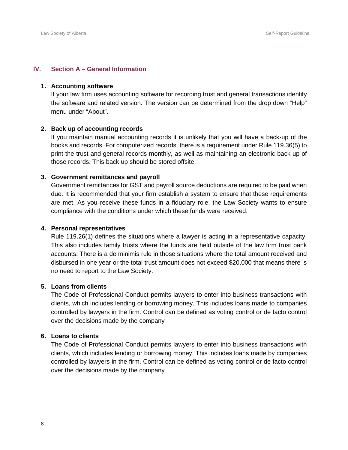# <span id="page-7-0"></span>**IV. Section A – General Information**

## <span id="page-7-1"></span>**1. Accounting software**

If your law firm uses accounting software for recording trust and general transactions identify the software and related version. The version can be determined from the drop down "Help" menu under "About".

#### <span id="page-7-2"></span>**2. Back up of accounting records**

If you maintain manual accounting records it is unlikely that you will have a back-up of the books and records. For computerized records, there is a requirement under Rule 119.36(5) to print the trust and general records monthly, as well as maintaining an electronic back up of those records. This back up should be stored offsite.

#### <span id="page-7-3"></span>**3. Government remittances and payroll**

Government remittances for GST and payroll source deductions are required to be paid when due. It is recommended that your firm establish a system to ensure that these requirements are met. As you receive these funds in a fiduciary role, the Law Society wants to ensure compliance with the conditions under which these funds were received.

#### <span id="page-7-4"></span>**4. Personal representatives**

Rule 119.26(1) defines the situations where a lawyer is acting in a representative capacity. This also includes family trusts where the funds are held outside of the law firm trust bank accounts. There is a de minimis rule in those situations where the total amount received and disbursed in one year or the total trust amount does not exceed \$20,000 that means there is no need to report to the Law Society.

#### <span id="page-7-5"></span>**5. Loans from clients**

The Code of Professional Conduct permits lawyers to enter into business transactions with clients, which includes lending or borrowing money. This includes loans made to companies controlled by lawyers in the firm. Control can be defined as voting control or de facto control over the decisions made by the company

#### <span id="page-7-6"></span>**6. Loans to clients**

The Code of Professional Conduct permits lawyers to enter into business transactions with clients, which includes lending or borrowing money. This includes loans made by companies controlled by lawyers in the firm. Control can be defined as voting control or de facto control over the decisions made by the company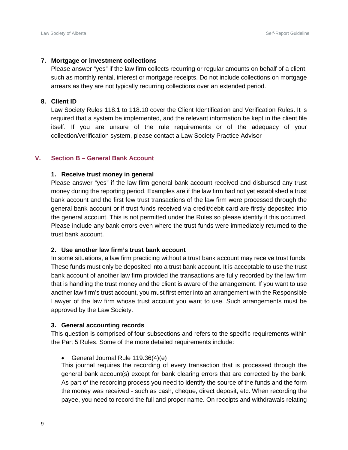#### <span id="page-8-0"></span>**7. Mortgage or investment collections**

Please answer "yes" if the law firm collects recurring or regular amounts on behalf of a client, such as monthly rental, interest or mortgage receipts. Do not include collections on mortgage arrears as they are not typically recurring collections over an extended period.

# <span id="page-8-1"></span>**8. Client ID**

Law Society Rules 118.1 to 118.10 cover the Client Identification and Verification Rules. It is required that a system be implemented, and the relevant information be kept in the client file itself. If you are unsure of the rule requirements or of the adequacy of your collection/verification system, please contact a Law Society Practice Advisor

## <span id="page-8-2"></span>**V. Section B – General Bank Account**

#### <span id="page-8-3"></span>**1. Receive trust money in general**

Please answer "yes" if the law firm general bank account received and disbursed any trust money during the reporting period. Examples are if the law firm had not yet established a trust bank account and the first few trust transactions of the law firm were processed through the general bank account or if trust funds received via credit/debit card are firstly deposited into the general account. This is not permitted under the Rules so please identify if this occurred. Please include any bank errors even where the trust funds were immediately returned to the trust bank account.

# <span id="page-8-4"></span>**2. Use another law firm's trust bank account**

In some situations, a law firm practicing without a trust bank account may receive trust funds. These funds must only be deposited into a trust bank account. It is acceptable to use the trust bank account of another law firm provided the transactions are fully recorded by the law firm that is handling the trust money and the client is aware of the arrangement. If you want to use another law firm's trust account, you must first enter into an arrangement with the Responsible Lawyer of the law firm whose trust account you want to use. Such arrangements must be approved by the Law Society.

#### <span id="page-8-5"></span>**3. General accounting records**

This question is comprised of four subsections and refers to the specific requirements within the Part 5 Rules. Some of the more detailed requirements include:

• General Journal Rule 119.36(4)(e)

This journal requires the recording of every transaction that is processed through the general bank account(s) except for bank clearing errors that are corrected by the bank. As part of the recording process you need to identify the source of the funds and the form the money was received - such as cash, cheque, direct deposit, etc. When recording the payee, you need to record the full and proper name. On receipts and withdrawals relating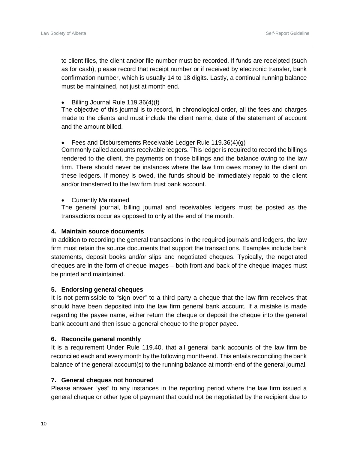to client files, the client and/or file number must be recorded. If funds are receipted (such as for cash), please record that receipt number or if received by electronic transfer, bank confirmation number, which is usually 14 to 18 digits. Lastly, a continual running balance must be maintained, not just at month end.

• Billing Journal Rule 119.36(4)(f)

The objective of this journal is to record, in chronological order, all the fees and charges made to the clients and must include the client name, date of the statement of account and the amount billed.

• Fees and Disbursements Receivable Ledger Rule 119.36(4)(g)

Commonly called accounts receivable ledgers. This ledger is required to record the billings rendered to the client, the payments on those billings and the balance owing to the law firm. There should never be instances where the law firm owes money to the client on these ledgers. If money is owed, the funds should be immediately repaid to the client and/or transferred to the law firm trust bank account.

• Currently Maintained

The general journal, billing journal and receivables ledgers must be posted as the transactions occur as opposed to only at the end of the month.

#### <span id="page-9-0"></span>**4. Maintain source documents**

In addition to recording the general transactions in the required journals and ledgers, the law firm must retain the source documents that support the transactions. Examples include bank statements, deposit books and/or slips and negotiated cheques. Typically, the negotiated cheques are in the form of cheque images – both front and back of the cheque images must be printed and maintained.

#### <span id="page-9-1"></span>**5. Endorsing general cheques**

It is not permissible to "sign over" to a third party a cheque that the law firm receives that should have been deposited into the law firm general bank account. If a mistake is made regarding the payee name, either return the cheque or deposit the cheque into the general bank account and then issue a general cheque to the proper payee.

#### <span id="page-9-2"></span>**6. Reconcile general monthly**

It is a requirement Under Rule 119.40, that all general bank accounts of the law firm be reconciled each and every month by the following month-end. This entails reconciling the bank balance of the general account(s) to the running balance at month-end of the general journal.

#### <span id="page-9-3"></span>**7. General cheques not honoured**

Please answer "yes" to any instances in the reporting period where the law firm issued a general cheque or other type of payment that could not be negotiated by the recipient due to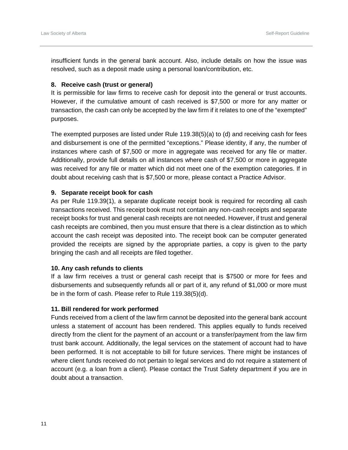insufficient funds in the general bank account. Also, include details on how the issue was resolved, such as a deposit made using a personal loan/contribution, etc.

## <span id="page-10-0"></span>**8. Receive cash (trust or general)**

It is permissible for law firms to receive cash for deposit into the general or trust accounts. However, if the cumulative amount of cash received is \$7,500 or more for any matter or transaction, the cash can only be accepted by the law firm if it relates to one of the "exempted" purposes.

The exempted purposes are listed under Rule 119.38(5)(a) to (d) and receiving cash for fees and disbursement is one of the permitted "exceptions." Please identity, if any, the number of instances where cash of \$7,500 or more in aggregate was received for any file or matter. Additionally, provide full details on all instances where cash of \$7,500 or more in aggregate was received for any file or matter which did not meet one of the exemption categories. If in doubt about receiving cash that is \$7,500 or more, please contact a Practice Advisor.

## <span id="page-10-1"></span>**9. Separate receipt book for cash**

As per Rule 119.39(1), a separate duplicate receipt book is required for recording all cash transactions received. This receipt book must not contain any non-cash receipts and separate receipt books for trust and general cash receipts are not needed. However, if trust and general cash receipts are combined, then you must ensure that there is a clear distinction as to which account the cash receipt was deposited into. The receipt book can be computer generated provided the receipts are signed by the appropriate parties, a copy is given to the party bringing the cash and all receipts are filed together.

#### <span id="page-10-2"></span>**10. Any cash refunds to clients**

If a law firm receives a trust or general cash receipt that is \$7500 or more for fees and disbursements and subsequently refunds all or part of it, any refund of \$1,000 or more must be in the form of cash. Please refer to Rule 119.38(5)(d).

#### <span id="page-10-3"></span>**11. Bill rendered for work performed**

Funds received from a client of the law firm cannot be deposited into the general bank account unless a statement of account has been rendered. This applies equally to funds received directly from the client for the payment of an account or a transfer/payment from the law firm trust bank account. Additionally, the legal services on the statement of account had to have been performed. It is not acceptable to bill for future services. There might be instances of where client funds received do not pertain to legal services and do not require a statement of account (e.g. a loan from a client). Please contact the Trust Safety department if you are in doubt about a transaction.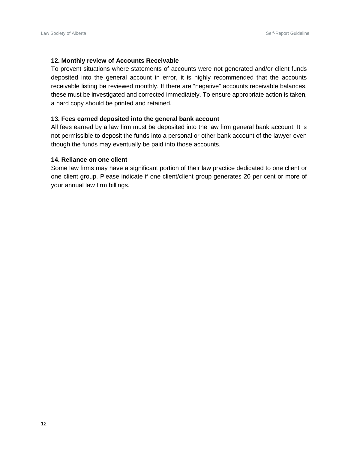#### <span id="page-11-0"></span>**12. Monthly review of Accounts Receivable**

To prevent situations where statements of accounts were not generated and/or client funds deposited into the general account in error, it is highly recommended that the accounts receivable listing be reviewed monthly. If there are "negative" accounts receivable balances, these must be investigated and corrected immediately. To ensure appropriate action is taken, a hard copy should be printed and retained.

## <span id="page-11-1"></span>**13. Fees earned deposited into the general bank account**

All fees earned by a law firm must be deposited into the law firm general bank account. It is not permissible to deposit the funds into a personal or other bank account of the lawyer even though the funds may eventually be paid into those accounts.

## <span id="page-11-2"></span>**14. Reliance on one client**

Some law firms may have a significant portion of their law practice dedicated to one client or one client group. Please indicate if one client/client group generates 20 per cent or more of your annual law firm billings.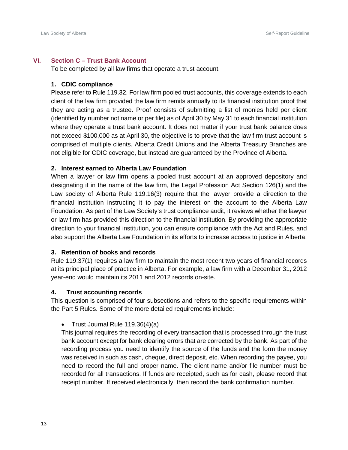## <span id="page-12-0"></span>**VI. Section C – Trust Bank Account**

To be completed by all law firms that operate a trust account.

## <span id="page-12-1"></span>**1. CDIC compliance**

Please refer to Rule 119.32. For law firm pooled trust accounts, this coverage extends to each client of the law firm provided the law firm remits annually to its financial institution proof that they are acting as a trustee. Proof consists of submitting a list of monies held per client (identified by number not name or per file) as of April 30 by May 31 to each financial institution where they operate a trust bank account. It does not matter if your trust bank balance does not exceed \$100,000 as at April 30, the objective is to prove that the law firm trust account is comprised of multiple clients. Alberta Credit Unions and the Alberta Treasury Branches are not eligible for CDIC coverage, but instead are guaranteed by the Province of Alberta.

## <span id="page-12-2"></span>**2. Interest earned to Alberta Law Foundation**

When a lawyer or law firm opens a pooled trust account at an approved depository and designating it in the name of the law firm, the Legal Profession Act Section 126(1) and the Law society of Alberta Rule 119.16(3) require that the lawyer provide a direction to the financial institution instructing it to pay the interest on the account to the Alberta Law Foundation. As part of the Law Society's trust compliance audit, it reviews whether the lawyer or law firm has provided this direction to the financial institution. By providing the appropriate direction to your financial institution, you can ensure compliance with the Act and Rules, and also support the Alberta Law Foundation in its efforts to increase access to justice in Alberta.

#### <span id="page-12-3"></span>**3. Retention of books and records**

Rule 119.37(1) requires a law firm to maintain the most recent two years of financial records at its principal place of practice in Alberta. For example, a law firm with a December 31, 2012 year-end would maintain its 2011 and 2012 records on-site.

#### <span id="page-12-4"></span>**4. Trust accounting records**

This question is comprised of four subsections and refers to the specific requirements within the Part 5 Rules. Some of the more detailed requirements include:

• Trust Journal Rule 119.36(4)(a)

This journal requires the recording of every transaction that is processed through the trust bank account except for bank clearing errors that are corrected by the bank. As part of the recording process you need to identify the source of the funds and the form the money was received in such as cash, cheque, direct deposit, etc. When recording the payee, you need to record the full and proper name. The client name and/or file number must be recorded for all transactions. If funds are receipted, such as for cash, please record that receipt number. If received electronically, then record the bank confirmation number.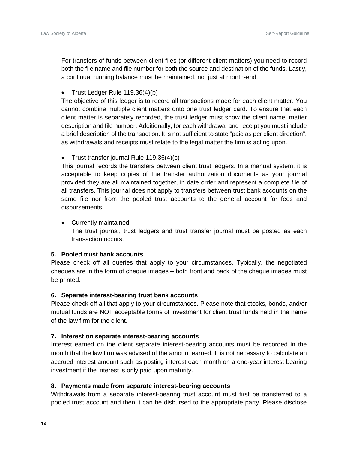For transfers of funds between client files (or different client matters) you need to record both the file name and file number for both the source and destination of the funds. Lastly, a continual running balance must be maintained, not just at month-end.

• Trust Ledger Rule 119.36(4)(b)

The objective of this ledger is to record all transactions made for each client matter. You cannot combine multiple client matters onto one trust ledger card. To ensure that each client matter is separately recorded, the trust ledger must show the client name, matter description and file number. Additionally, for each withdrawal and receipt you must include a brief description of the transaction. It is not sufficient to state "paid as per client direction", as withdrawals and receipts must relate to the legal matter the firm is acting upon.

• Trust transfer journal Rule 119.36(4)(c)

This journal records the transfers between client trust ledgers. In a manual system, it is acceptable to keep copies of the transfer authorization documents as your journal provided they are all maintained together, in date order and represent a complete file of all transfers. This journal does not apply to transfers between trust bank accounts on the same file nor from the pooled trust accounts to the general account for fees and disbursements.

• Currently maintained The trust journal, trust ledgers and trust transfer journal must be posted as each transaction occurs.

## <span id="page-13-0"></span>**5. Pooled trust bank accounts**

Please check off all queries that apply to your circumstances. Typically, the negotiated cheques are in the form of cheque images – both front and back of the cheque images must be printed.

#### <span id="page-13-1"></span>**6. Separate interest-bearing trust bank accounts**

Please check off all that apply to your circumstances. Please note that stocks, bonds, and/or mutual funds are NOT acceptable forms of investment for client trust funds held in the name of the law firm for the client.

#### <span id="page-13-2"></span>**7. Interest on separate interest-bearing accounts**

Interest earned on the client separate interest-bearing accounts must be recorded in the month that the law firm was advised of the amount earned. It is not necessary to calculate an accrued interest amount such as posting interest each month on a one-year interest bearing investment if the interest is only paid upon maturity.

## <span id="page-13-3"></span>**8. Payments made from separate interest-bearing accounts**

Withdrawals from a separate interest-bearing trust account must first be transferred to a pooled trust account and then it can be disbursed to the appropriate party. Please disclose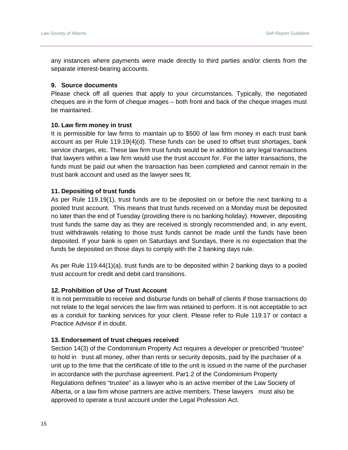any instances where payments were made directly to third parties and/or clients from the separate interest-bearing accounts.

#### <span id="page-14-0"></span>**9. Source documents**

Please check off all queries that apply to your circumstances. Typically, the negotiated cheques are in the form of cheque images – both front and back of the cheque images must be maintained.

#### <span id="page-14-1"></span>**10. Law firm money in trust**

It is permissible for law firms to maintain up to \$500 of law firm money in each trust bank account as per Rule 119.19(4)(d). These funds can be used to offset trust shortages, bank service charges, etc. These law firm trust funds would be in addition to any legal transactions that lawyers within a law firm would use the trust account for. For the latter transactions, the funds must be paid out when the transaction has been completed and cannot remain in the trust bank account and used as the lawyer sees fit.

## <span id="page-14-2"></span>**11. Depositing of trust funds**

As per Rule 119.19(1), trust funds are to be deposited on or before the next banking to a pooled trust account. This means that trust funds received on a Monday must be deposited no later than the end of Tuesday (providing there is no banking holiday). However, depositing trust funds the same day as they are received is strongly recommended and, in any event, trust withdrawals relating to those trust funds cannot be made until the funds have been deposited. If your bank is open on Saturdays and Sundays, there is no expectation that the funds be deposited on those days to comply with the 2 banking days rule.

As per Rule 119.44(1)(a), trust funds are to be deposited within 2 banking days to a pooled trust account for credit and debit card transitions.

## <span id="page-14-3"></span>**12. Prohibition of Use of Trust Account**

It is not permissible to receive and disburse funds on behalf of clients if those transactions do not relate to the legal services the law firm was retained to perform. It is not acceptable to act as a conduit for banking services for your client. Please refer to Rule 119.17 or contact a Practice Advisor if in doubt.

#### <span id="page-14-4"></span>**13. Endorsement of trust cheques received**

Section 14(3) of the Condominium Property Act requires a developer or prescribed "trustee" to hold in trust all money, other than rents or security deposits, paid by the purchaser of a unit up to the time that the certificate of title to the unit is issued in the name of the purchaser in accordance with the purchase agreement. Par1.2 of the Condominium Property Regulations defines "trustee" as a lawyer who is an active member of the Law Society of Alberta, or a law firm whose partners are active members. These lawyers must also be approved to operate a trust account under the Legal Profession Act.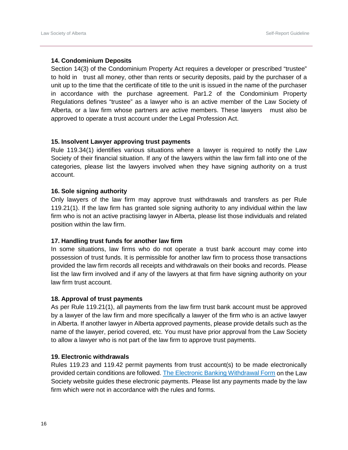## <span id="page-15-0"></span>**14. Condominium Deposits**

Section 14(3) of the Condominium Property Act requires a developer or prescribed "trustee" to hold in trust all money, other than rents or security deposits, paid by the purchaser of a unit up to the time that the certificate of title to the unit is issued in the name of the purchaser in accordance with the purchase agreement. Par1.2 of the Condominium Property Regulations defines "trustee" as a lawyer who is an active member of the Law Society of Alberta, or a law firm whose partners are active members. These lawyers must also be approved to operate a trust account under the Legal Profession Act.

#### <span id="page-15-1"></span>**15. Insolvent Lawyer approving trust payments**

Rule 119.34(1) identifies various situations where a lawyer is required to notify the Law Society of their financial situation. If any of the lawyers within the law firm fall into one of the categories, please list the lawyers involved when they have signing authority on a trust account.

#### <span id="page-15-2"></span>**16. Sole signing authority**

Only lawyers of the law firm may approve trust withdrawals and transfers as per Rule 119.21(1). If the law firm has granted sole signing authority to any individual within the law firm who is not an active practising lawyer in Alberta, please list those individuals and related position within the law firm.

#### <span id="page-15-3"></span>**17. Handling trust funds for another law firm**

In some situations, law firms who do not operate a trust bank account may come into possession of trust funds. It is permissible for another law firm to process those transactions provided the law firm records all receipts and withdrawals on their books and records. Please list the law firm involved and if any of the lawyers at that firm have signing authority on your law firm trust account.

#### <span id="page-15-4"></span>**18. Approval of trust payments**

As per Rule 119.21(1), all payments from the law firm trust bank account must be approved by a lawyer of the law firm and more specifically a lawyer of the firm who is an active lawyer in Alberta. If another lawyer in Alberta approved payments, please provide details such as the name of the lawyer, period covered, etc. You must have prior approval from the Law Society to allow a lawyer who is not part of the law firm to approve trust payments.

#### <span id="page-15-5"></span>**19. Electronic withdrawals**

Rules 119.23 and 119.42 permit payments from trust account(s) to be made electronically provided certain conditions are followed. The [Electronic Banking Withdrawal Form](https://dvbat5idxh7ib.cloudfront.net/wp-content/uploads/2017/01/29220044/form_5-ts_withdrawal_electronic.pdf) on the Law Society website guides these electronic payments. Please list any payments made by the law firm which were not in accordance with the rules and forms.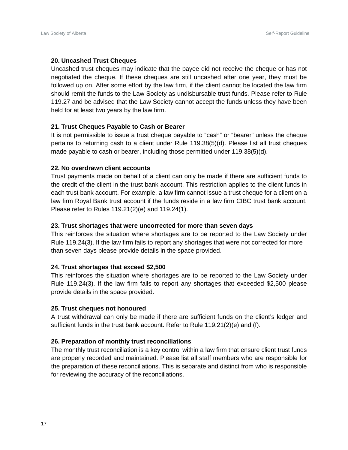## <span id="page-16-0"></span>**20. Uncashed Trust Cheques**

Uncashed trust cheques may indicate that the payee did not receive the cheque or has not negotiated the cheque. If these cheques are still uncashed after one year, they must be followed up on. After some effort by the law firm, if the client cannot be located the law firm should remit the funds to the Law Society as undisbursable trust funds. Please refer to Rule 119.27 and be advised that the Law Society cannot accept the funds unless they have been held for at least two years by the law firm.

## <span id="page-16-1"></span>**21. Trust Cheques Payable to Cash or Bearer**

It is not permissible to issue a trust cheque payable to "cash" or "bearer" unless the cheque pertains to returning cash to a client under Rule 119.38(5)(d). Please list all trust cheques made payable to cash or bearer, including those permitted under 119.38(5)(d).

## <span id="page-16-2"></span>**22. No overdrawn client accounts**

Trust payments made on behalf of a client can only be made if there are sufficient funds to the credit of the client in the trust bank account. This restriction applies to the client funds in each trust bank account. For example, a law firm cannot issue a trust cheque for a client on a law firm Royal Bank trust account if the funds reside in a law firm CIBC trust bank account. Please refer to Rules 119.21(2)(e) and 119.24(1).

#### <span id="page-16-3"></span>**23. Trust shortages that were uncorrected for more than seven days**

This reinforces the situation where shortages are to be reported to the Law Society under Rule 119.24(3). If the law firm fails to report any shortages that were not corrected for more than seven days please provide details in the space provided.

#### <span id="page-16-4"></span>**24. Trust shortages that exceed \$2,500**

This reinforces the situation where shortages are to be reported to the Law Society under Rule 119.24(3). If the law firm fails to report any shortages that exceeded \$2,500 please provide details in the space provided.

#### <span id="page-16-5"></span>**25. Trust cheques not honoured**

A trust withdrawal can only be made if there are sufficient funds on the client's ledger and sufficient funds in the trust bank account. Refer to Rule 119.21(2)(e) and (f).

# <span id="page-16-6"></span>**26. Preparation of monthly trust reconciliations**

The monthly trust reconciliation is a key control within a law firm that ensure client trust funds are properly recorded and maintained. Please list all staff members who are responsible for the preparation of these reconciliations. This is separate and distinct from who is responsible for reviewing the accuracy of the reconciliations.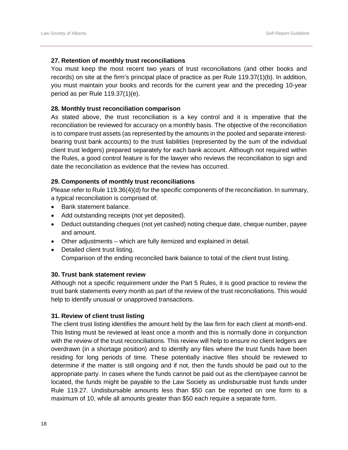#### <span id="page-17-0"></span>**27. Retention of monthly trust reconciliations**

You must keep the most recent two years of trust reconciliations (and other books and records) on site at the firm's principal place of practice as per Rule 119.37(1)(b). In addition, you must maintain your books and records for the current year and the preceding 10-year period as per Rule 119.37(1)(e).

#### <span id="page-17-1"></span>**28. Monthly trust reconciliation comparison**

As stated above, the trust reconciliation is a key control and it is imperative that the reconciliation be reviewed for accuracy on a monthly basis. The objective of the reconciliation is to compare trust assets (as represented by the amounts in the pooled and separate interestbearing trust bank accounts) to the trust liabilities (represented by the sum of the individual client trust ledgers) prepared separately for each bank account. Although not required within the Rules, a good control feature is for the lawyer who reviews the reconciliation to sign and date the reconciliation as evidence that the review has occurred.

## <span id="page-17-2"></span>**29. Components of monthly trust reconciliations**

Please refer to Rule 119.36(4)(d) for the specific components of the reconciliation. In summary, a typical reconciliation is comprised of:

- Bank statement balance.
- Add outstanding receipts (not yet deposited).
- Deduct outstanding cheques (not yet cashed) noting cheque date, cheque number, payee and amount.
- Other adjustments which are fully itemized and explained in detail.
- Detailed client trust listing. Comparison of the ending reconciled bank balance to total of the client trust listing.

#### <span id="page-17-3"></span>**30. Trust bank statement review**

Although not a specific requirement under the Part 5 Rules, it is good practice to review the trust bank statements every month as part of the review of the trust reconciliations. This would help to identify unusual or unapproved transactions.

#### <span id="page-17-4"></span>**31. Review of client trust listing**

The client trust listing identifies the amount held by the law firm for each client at month-end. This listing must be reviewed at least once a month and this is normally done in conjunction with the review of the trust reconciliations. This review will help to ensure no client ledgers are overdrawn (in a shortage position) and to identify any files where the trust funds have been residing for long periods of time. These potentially inactive files should be reviewed to determine if the matter is still ongoing and if not, then the funds should be paid out to the appropriate party. In cases where the funds cannot be paid out as the client/payee cannot be located, the funds might be payable to the Law Society as undisbursable trust funds under Rule 119.27. Undisbursable amounts less than \$50 can be reported on one form to a maximum of 10, while all amounts greater than \$50 each require a separate form.